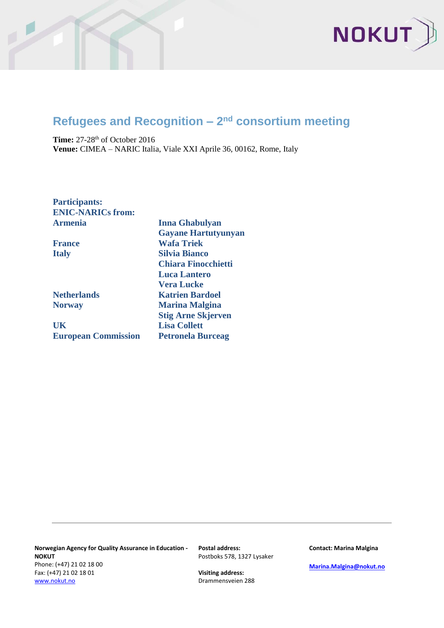

## **Refugees and Recognition – 2<sup>nd</sup> consortium meeting**

**Time:** 27-28<sup>th</sup> of October 2016 **Venue:** CIMEA – NARIC Italia, Viale XXI Aprile 36, 00162, Rome, Italy

**Participants: ENIC-NARICs from: Armenia Inna Ghabulyan**

**UK Lisa Collett European Commission Petronela Burceag**

**Gayane Hartutyunyan France Wafa Triek Italy Silvia Bianco Chiara Finocchietti Luca Lantero Vera Lucke Netherlands Katrien Bardoel Norway Marina Malgina Stig Arne Skjerven**

**Norwegian Agency for Quality Assurance in Education - NOKUT** Phone: (+47) 21 02 18 00 Fax: (+47) 21 02 18 01 [www.nokut.no](http://www.nokut.no/)

**Postal address:** Postboks 578, 1327 Lysaker

**Visiting address:** Drammensveien 288 **Contact: Marina Malgina**

**[Marina.Malgina@nokut.no](mailto:Marina.Malgina@nokut.no)**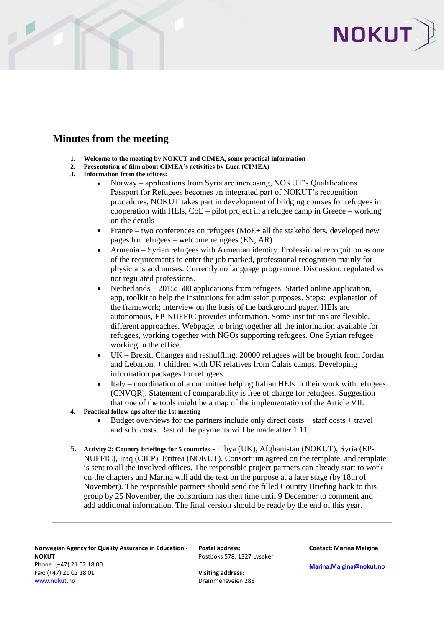

## **Minutes from the meeting**

- **1. Welcome to the meeting by NOKUT and CIMEA, some practical information**<br>**2.** Presentation of film about CIMEA's activities by Luca (CIMEA)
- **2. Presentation of film about CIMEA's activities by Luca (CIMEA)**
- **3. Information from the offices:**
	- Norway applications from Syria are increasing, NOKUT's Qualifications Passport for Refugees becomes an integrated part of NOKUT's recognition procedures, NOKUT takes part in development of bridging courses for refugees in cooperation with HEIs,  $CoE -$  pilot project in a refugee camp in Greece – working on the details
	- France two conferences on refugees ( $\text{MoE+}$  all the stakeholders, developed new pages for refugees – welcome refugees (EN, AR)
	- Armenia Syrian refugees with Armenian identity. Professional recognition as one of the requirements to enter the job marked, professional recognition mainly for physicians and nurses. Currently no language programme. Discussion: regulated vs not regulated professions.
	- Netherlands 2015: 500 applications from refugees. Started online application, app, toolkit to help the institutions for admission purposes. Steps: explanation of the framework; interview on the basis of the background paper. HEIs are autonomous, EP-NUFFIC provides information. Some institutions are flexible, different approaches. Webpage: to bring together all the information available for refugees, working together with NGOs supporting refugees. One Syrian refugee working in the office.
	- UK Brexit. Changes and reshuffling. 20000 refugees will be brought from Jordan and Lebanon. + children with UK relatives from Calais camps. Developing information packages for refugees.
	- Italy coordination of a committee helping Italian HEIs in their work with refugees (CNVQR). Statement of comparability is free of charge for refugees. Suggestion that one of the tools might be a map of the implementation of the Article VII.
- **4. Practical follow ups after the 1st meeting**
	- $\bullet$  Budget overviews for the partners include only direct costs staff costs + travel and sub. costs. Rest of the payments will be made after 1.11.
- 5. **Activity 2: Country briefings for 5 countries** Libya (UK), Afghanistan (NOKUT), Syria (EP-NUFFIC), Iraq (CIEP), Eritrea (NOKUT). Consortium agreed on the template, and template is sent to all the involved offices. The responsible project partners can already start to work on the chapters and Marina will add the text on the purpose at a later stage (by 18th of November). The responsible partners should send the filled Country Briefing back to this group by 25 November, the consortium has then time until 9 December to comment and add additional information. The final version should be ready by the end of this year.

**Norwegian Agency for Quality Assurance in Education - NOKUT** Phone: (+47) 21 02 18 00 Fax: (+47) 21 02 18 01 [www.nokut.no](http://www.nokut.no/)

**Postal address:** Postboks 578, 1327 Lysaker

**Visiting address:** Drammensveien 288 **Contact: Marina Malgina**

**[Marina.Malgina@nokut.no](mailto:Marina.Malgina@nokut.no)**